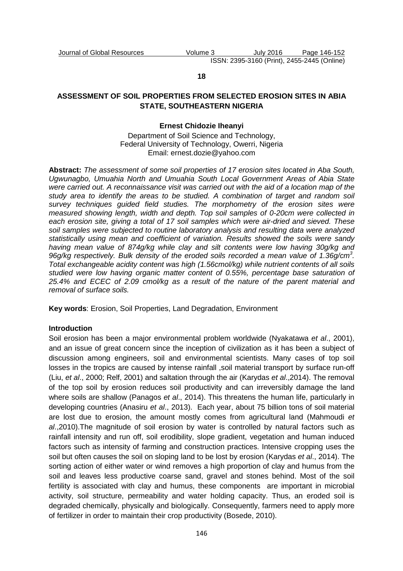#### **18**

# **ASSESSMENT OF SOIL PROPERTIES FROM SELECTED EROSION SITES IN ABIA STATE, SOUTHEASTERN NIGERIA**

## **Ernest Chidozie Iheanyi**

Department of Soil Science and Technology, Federal University of Technology, Owerri, Nigeria Email: ernest.dozie@yahoo.com

**Abstract:** The assessment of some soil properties of 17 erosion sites located in Aba South, Ugwunagbo, Umuahia North and Umuahia South Local Government Areas of Abia State were carried out. A reconnaissance visit was carried out with the aid of a location map of the study area to identify the areas to be studied. A combination of target and random soil survey techniques quided field studies. The morphometry of the erosion sites were measured showing length, width and depth. Top soil samples of 0-20cm were collected in each erosion site, giving a total of 17 soil samples which were air-dried and sieved. These soil samples were subjected to routine laboratory analysis and resulting data were analyzed statistically using mean and coefficient of variation. Results showed the soils were sandy having mean value of 874g/kg while clay and silt contents were low having 30g/kg and 96g/kg respectively. Bulk density of the eroded soils recorded a mean value of 1.36g/cm<sup>3</sup>. Total exchangeable acidity content was high (1.56cmol/kg) while nutrient contents of all soils studied were low having organic matter content of 0.55%, percentage base saturation of 25.4% and ECEC of 2.09 cmol/kg as a result of the nature of the parent material and removal of surface soils.

**Key words**: Erosion, Soil Properties, Land Degradation, Environment

## **Introduction**

Soil erosion has been a major environmental problem worldwide (Nyakatawa et al., 2001), and an issue of great concern since the inception of civilization as it has been a subject of discussion among engineers, soil and environmental scientists. Many cases of top soil losses in the tropics are caused by intense rainfall ,soil material transport by surface run-off (Liu, et al., 2000; Relf, 2001) and saltation through the air (Karydas et al., 2014). The removal of the top soil by erosion reduces soil productivity and can irreversibly damage the land where soils are shallow (Panagos *et al.*, 2014). This threatens the human life, particularly in developing countries (Anasiru et al., 2013). Each year, about 75 billion tons of soil material are lost due to erosion, the amount mostly comes from agricultural land (Mahmoudi et al.,2010).The magnitude of soil erosion by water is controlled by natural factors such as rainfall intensity and run off, soil erodibility, slope gradient, vegetation and human induced factors such as intensity of farming and construction practices. Intensive cropping uses the soil but often causes the soil on sloping land to be lost by erosion (Karydas et al., 2014). The sorting action of either water or wind removes a high proportion of clay and humus from the soil and leaves less productive coarse sand, gravel and stones behind. Most of the soil fertility is associated with clay and humus, these components are important in microbial activity, soil structure, permeability and water holding capacity. Thus, an eroded soil is degraded chemically, physically and biologically. Consequently, farmers need to apply more of fertilizer in order to maintain their crop productivity (Bosede, 2010).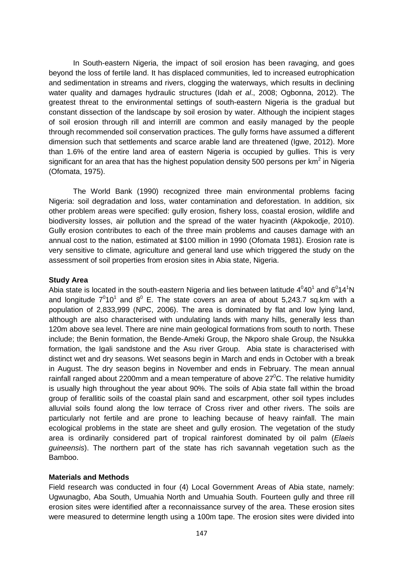In South-eastern Nigeria, the impact of soil erosion has been ravaging, and goes beyond the loss of fertile land. It has displaced communities, led to increased eutrophication and sedimentation in streams and rivers, clogging the waterways, which results in declining water quality and damages hydraulic structures (Idah et al., 2008; Ogbonna, 2012). The greatest threat to the environmental settings of south-eastern Nigeria is the gradual but constant dissection of the landscape by soil erosion by water. Although the incipient stages of soil erosion through rill and interrill are common and easily managed by the people through recommended soil conservation practices. The gully forms have assumed a different dimension such that settlements and scarce arable land are threatened (Igwe, 2012). More than 1.6% of the entire land area of eastern Nigeria is occupied by gullies. This is very significant for an area that has the highest population density 500 persons per km<sup>2</sup> in Nigeria (Ofomata, 1975).

The World Bank (1990) recognized three main environmental problems facing Nigeria: soil degradation and loss, water contamination and deforestation. In addition, six other problem areas were specified: gully erosion, fishery loss, coastal erosion, wildlife and biodiversity losses, air pollution and the spread of the water hyacinth (Akpokodje, 2010). Gully erosion contributes to each of the three main problems and causes damage with an annual cost to the nation, estimated at \$100 million in 1990 (Ofomata 1981). Erosion rate is very sensitive to climate, agriculture and general land use which triggered the study on the assessment of soil properties from erosion sites in Abia state, Nigeria.

## **Study Area**

Abia state is located in the south-eastern Nigeria and lies between latitude  $4^040^1$  and  $6^014^1$ N and longitude  $7^010^1$  and  $8^0$  E. The state covers an area of about 5,243.7 sq.km with a population of 2,833,999 (NPC, 2006). The area is dominated by flat and low lying land, although are also characterised with undulating lands with many hills, generally less than 120m above sea level. There are nine main geological formations from south to north. These include; the Benin formation, the Bende-Ameki Group, the Nkporo shale Group, the Nsukka formation, the Igali sandstone and the Asu river Group. Abia state is characterised with distinct wet and dry seasons. Wet seasons begin in March and ends in October with a break in August. The dry season begins in November and ends in February. The mean annual rainfall ranged about 2200mm and a mean temperature of above  $27^{\circ}$ C. The relative humidity is usually high throughout the year about 90%. The soils of Abia state fall within the broad group of ferallitic soils of the coastal plain sand and escarpment, other soil types includes alluvial soils found along the low terrace of Cross river and other rivers. The soils are particularly not fertile and are prone to leaching because of heavy rainfall. The main ecological problems in the state are sheet and gully erosion. The vegetation of the study area is ordinarily considered part of tropical rainforest dominated by oil palm (Elaeis guineensis). The northern part of the state has rich savannah vegetation such as the Bamboo.

# **Materials and Methods**

Field research was conducted in four (4) Local Government Areas of Abia state, namely: Ugwunagbo, Aba South, Umuahia North and Umuahia South. Fourteen gully and three rill erosion sites were identified after a reconnaissance survey of the area. These erosion sites were measured to determine length using a 100m tape. The erosion sites were divided into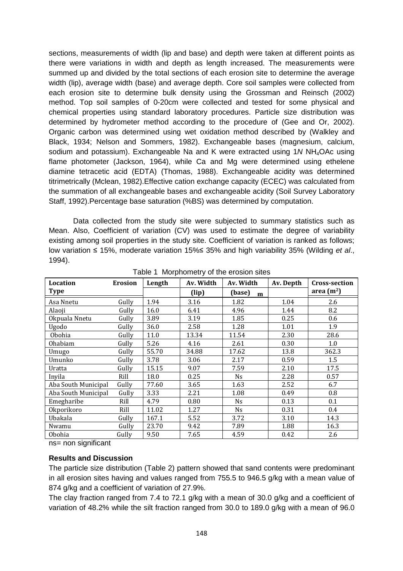sections, measurements of width (lip and base) and depth were taken at different points as there were variations in width and depth as length increased. The measurements were summed up and divided by the total sections of each erosion site to determine the average width (lip), average width (base) and average depth. Core soil samples were collected from each erosion site to determine bulk density using the Grossman and Reinsch (2002) method. Top soil samples of 0-20cm were collected and tested for some physical and chemical properties using standard laboratory procedures. Particle size distribution was determined by hydrometer method according to the procedure of (Gee and Or, 2002). Organic carbon was determined using wet oxidation method described by (Walkley and Black, 1934; Nelson and Sommers, 1982). Exchangeable bases (magnesium, calcium, sodium and potassium). Exchangeable Na and K were extracted using 1N NH<sub>4</sub>OAc using flame photometer (Jackson, 1964), while Ca and Mg were determined using ethelene diamine tetracetic acid (EDTA) (Thomas, 1988). Exchangeable acidity was determined titrimetrically (Mclean, 1982).Effective cation exchange capacity (ECEC) was calculated from the summation of all exchangeable bases and exchangeable acidity (Soil Survey Laboratory Staff, 1992).Percentage base saturation (%BS) was determined by computation.

 Data collected from the study site were subjected to summary statistics such as Mean. Also, Coefficient of variation (CV) was used to estimate the degree of variability existing among soil properties in the study site. Coefficient of variation is ranked as follows; low variation ≤ 15%, moderate variation 15%≤ 35% and high variability 35% (Wilding et al., 1994).

| <b>Location</b>     | <b>Erosion</b> | Length | Av. Width<br>Av. Width |             | Av. Depth | <b>Cross-section</b> |
|---------------------|----------------|--------|------------------------|-------------|-----------|----------------------|
| <b>Type</b>         |                |        | (lip)                  | (base)<br>m |           | area $(m2)$          |
| Asa Nnetu           | Gully          | 1.94   | 3.16                   | 1.82        | 1.04      | 2.6                  |
| Alaoji              | Gully          | 16.0   | 6.41                   | 4.96        | 1.44      | 8.2                  |
| Okpuala Nnetu       | Gully          | 3.89   | 3.19                   | 1.85        | 0.25      | 0.6                  |
| Ugodo               | Gully          | 36.0   | 2.58                   | 1.28        | 1.01      | 1.9                  |
| Obohia              | Gully          | 11.0   | 13.34                  | 11.54       | 2.30      | 28.6                 |
| Ohabiam             | Gully          | 5.26   | 4.16                   | 2.61        | 0.30      | 1.0                  |
| Umugo               | Gully          | 55.70  | 34.88                  | 17.62       | 13.8      | 362.3                |
| Umunko              | Gully          | 3.78   | 3.06                   | 2.17        | 0.59      | 1.5                  |
| Uratta              | Gully          | 15.15  | 9.07                   | 7.59        | 2.10      | 17.5                 |
| Inyila              | Rill           | 18.0   | 0.25                   | <b>Ns</b>   | 2.28      | 0.57                 |
| Aba South Municipal | Gully          | 77.60  | 3.65                   | 1.63        | 2.52      | 6.7                  |
| Aba South Municipal | Gully          | 3.33   | 2.21                   | 1.08        | 0.49      | 0.8                  |
| Emegharibe          | Rill           | 4.79   | 0.80                   | <b>Ns</b>   | 0.13      | 0.1                  |
| Okporikoro          | Rill           | 11.02  | 1.27                   | <b>Ns</b>   | 0.31      | 0.4                  |
| Ubakala             | Gully          | 167.1  | 5.52                   | 3.72        | 3.10      | 14.3                 |
| Nwamu               | Gully          | 23.70  | 9.42                   | 7.89        | 1.88      | 16.3                 |
| Obohia              | Gully          | 9.50   | 7.65                   | 4.59        | 0.42      | 2.6                  |

Table 1 Morphometry of the erosion sites

ns= non significant

## **Results and Discussion**

The particle size distribution (Table 2) pattern showed that sand contents were predominant in all erosion sites having and values ranged from 755.5 to 946.5 g/kg with a mean value of 874 g/kg and a coefficient of variation of 27.9%.

The clay fraction ranged from 7.4 to 72.1 g/kg with a mean of 30.0 g/kg and a coefficient of variation of 48.2% while the silt fraction ranged from 30.0 to 189.0 g/kg with a mean of 96.0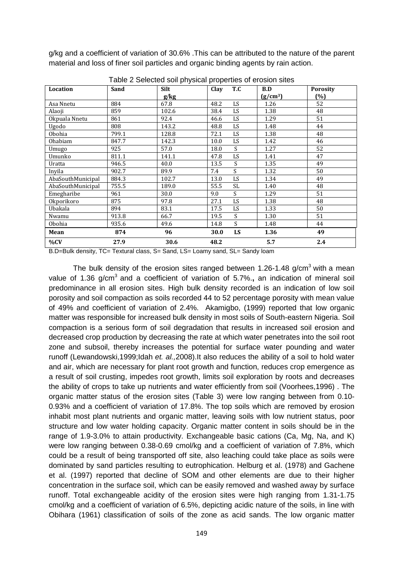g/kg and a coefficient of variation of 30.6% .This can be attributed to the nature of the parent material and loss of finer soil particles and organic binding agents by rain action.

| Location          | Sand  | <b>Silt</b> | Clay<br>T.C | B.D                  | <b>Porosity</b> |
|-------------------|-------|-------------|-------------|----------------------|-----------------|
|                   |       | g/kg        |             | (g/cm <sup>3</sup> ) | (%)             |
| Asa Nnetu         | 884   | 67.8        | LS<br>48.2  | 1.26                 | 52              |
| Alaoji            | 859   | 102.6       | LS<br>38.4  | 1.38                 | 48              |
| Okpuala Nnetu     | 861   | 92.4        | LS<br>46.6  | 1.29                 | 51              |
| Ugodo             | 808   | 143.2       | LS<br>48.8  | 1.48                 | 44              |
| Obohia            | 799.1 | 128.8       | LS<br>72.1  | 1.38                 | 48              |
| Ohabiam           | 847.7 | 142.3       | LS<br>10.0  | 1.42                 | 46              |
| Umugo             | 925   | 57.0        | S.<br>18.0  | 1.27                 | 52              |
| Umunko            | 811.1 | 141.1       | LS<br>47.8  | 1.41                 | 47              |
| Uratta            | 946.5 | 40.0        | S<br>13.5   | 1.35                 | 49              |
| Inyila            | 902.7 | 89.9        | S.<br>7.4   | 1.32                 | 50              |
| AbaSouthMunicipal | 884.3 | 102.7       | LS<br>13.0  | 1.34                 | 49              |
| AbaSouthMunicipal | 755.5 | 189.0       | SL<br>55.5  | 1.40                 | 48              |
| Emegharibe        | 961   | 30.0        | S<br>9.0    | 1.29                 | 51              |
| Okporikoro        | 875   | 97.8        | LS<br>27.1  | 1.38                 | 48              |
| Ubakala           | 894   | 83.1        | LS<br>17.5  | 1.33                 | 50              |
| Nwamu             | 913.8 | 66.7        | S<br>19.5   | 1.30                 | 51              |
| Obohia            | 935.6 | 49.6        | S<br>14.8   | 1.48                 | 44              |
| Mean              | 874   | 96          | 30.0<br>LS  | 1.36                 | 49              |
| %CV               | 27.9  | 30.6        | 48.2        | 5.7                  | 2.4             |

Table 2 Selected soil physical properties of erosion sites

B.D=Bulk density, TC= Textural class, S= Sand, LS= Loamy sand, SL= Sandy loam

The bulk density of the erosion sites ranged between 1.26-1.48 g/cm<sup>3</sup> with a mean value of 1.36 g/cm<sup>3</sup> and a coefficient of variation of 5.7%., an indication of mineral soil predominance in all erosion sites. High bulk density recorded is an indication of low soil porosity and soil compaction as soils recorded 44 to 52 percentage porosity with mean value of 49% and coefficient of variation of 2.4%. Akamigbo, (1999) reported that low organic matter was responsible for increased bulk density in most soils of South-eastern Nigeria. Soil compaction is a serious form of soil degradation that results in increased soil erosion and decreased crop production by decreasing the rate at which water penetrates into the soil root zone and subsoil, thereby increases the potential for surface water pounding and water runoff (Lewandowski,1999;Idah et. al.,2008).It also reduces the ability of a soil to hold water and air, which are necessary for plant root growth and function, reduces crop emergence as a result of soil crusting, impedes root growth, limits soil exploration by roots and decreases the ability of crops to take up nutrients and water efficiently from soil (Voorhees,1996) . The organic matter status of the erosion sites (Table 3) were low ranging between from 0.10- 0.93% and a coefficient of variation of 17.8%. The top soils which are removed by erosion inhabit most plant nutrients and organic matter, leaving soils with low nutrient status, poor structure and low water holding capacity. Organic matter content in soils should be in the range of 1.9-3.0% to attain productivity. Exchangeable basic cations (Ca, Mg, Na, and K) were low ranging between 0.38-0.69 cmol/kg and a coefficient of variation of 7.8%, which could be a result of being transported off site, also leaching could take place as soils were dominated by sand particles resulting to eutrophication. Helburg et al. (1978) and Gachene et al. (1997) reported that decline of SOM and other elements are due to their higher concentration in the surface soil, which can be easily removed and washed away by surface runoff. Total exchangeable acidity of the erosion sites were high ranging from 1.31-1.75 cmol/kg and a coefficient of variation of 6.5%, depicting acidic nature of the soils, in line with Obihara (1961) classification of soils of the zone as acid sands. The low organic matter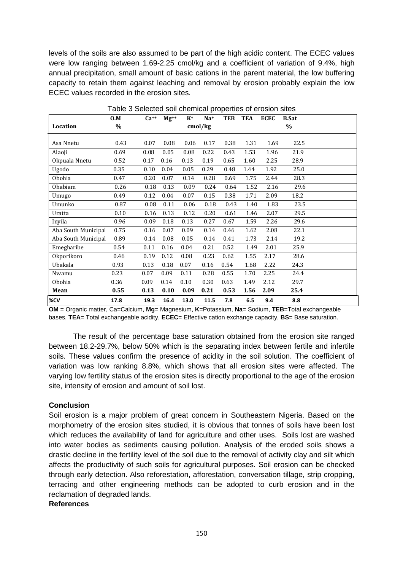levels of the soils are also assumed to be part of the high acidic content. The ECEC values were low ranging between 1.69-2.25 cmol/kg and a coefficient of variation of 9.4%, high annual precipitation, small amount of basic cations in the parent material, the low buffering capacity to retain them against leaching and removal by erosion probably explain the low ECEC values recorded in the erosion sites.

|                     | 0.M  | $Ca^{++}$ | $Mg^{++}$ | $K^+$ | Na <sup>+</sup> | TEB  | <b>TEA</b> | <b>ECEC</b> | <b>B.Sat</b> |  |
|---------------------|------|-----------|-----------|-------|-----------------|------|------------|-------------|--------------|--|
| Location            | $\%$ |           |           |       | cmol/kg         |      |            |             | $\%$         |  |
|                     |      |           |           |       |                 |      |            |             |              |  |
| Asa Nnetu           | 0.43 | 0.07      | 0.08      | 0.06  | 0.17            | 0.38 | 1.31       | 1.69        | 22.5         |  |
| Alaoji              | 0.69 | 0.08      | 0.05      | 0.08  | 0.22            | 0.43 | 1.53       | 1.96        | 21.9         |  |
| Okpuala Nnetu       | 0.52 | 0.17      | 0.16      | 0.13  | 0.19            | 0.65 | 1.60       | 2.25        | 28.9         |  |
| Ugodo               | 0.35 | 0.10      | 0.04      | 0.05  | 0.29            | 0.48 | 1.44       | 1.92        | 25.0         |  |
| Obohia              | 0.47 | 0.20      | 0.07      | 0.14  | 0.28            | 0.69 | 1.75       | 2.44        | 28.3         |  |
| Ohabiam             | 0.26 | 0.18      | 0.13      | 0.09  | 0.24            | 0.64 | 1.52       | 2.16        | 29.6         |  |
| Umugo               | 0.49 | 0.12      | 0.04      | 0.07  | 0.15            | 0.38 | 1.71       | 2.09        | 18.2         |  |
| Umunko              | 0.87 | 0.08      | 0.11      | 0.06  | 0.18            | 0.43 | 1.40       | 1.83        | 23.5         |  |
| Uratta              | 0.10 | 0.16      | 0.13      | 0.12  | 0.20            | 0.61 | 1.46       | 2.07        | 29.5         |  |
| Inyila              | 0.96 | 0.09      | 0.18      | 0.13  | 0.27            | 0.67 | 1.59       | 2.26        | 29.6         |  |
| Aba South Municipal | 0.75 | 0.16      | 0.07      | 0.09  | 0.14            | 0.46 | 1.62       | 2.08        | 22.1         |  |
| Aba South Municipal | 0.89 | 0.14      | 0.08      | 0.05  | 0.14            | 0.41 | 1.73       | 2.14        | 19.2         |  |
| Emegharibe          | 0.54 | 0.11      | 0.16      | 0.04  | 0.21            | 0.52 | 1.49       | 2.01        | 25.9         |  |
| Okporikoro          | 0.46 | 0.19      | 0.12      | 0.08  | 0.23            | 0.62 | 1.55       | 2.17        | 28.6         |  |
| Ubakala             | 0.93 | 0.13      | 0.18      | 0.07  | 0.16            | 0.54 | 1.68       | 2.22        | 24.3         |  |
| Nwamu               | 0.23 | 0.07      | 0.09      | 0.11  | 0.28            | 0.55 | 1.70       | 2.25        | 24.4         |  |
| Obohia              | 0.36 | 0.09      | 0.14      | 0.10  | 0.30            | 0.63 | 1.49       | 2.12        | 29.7         |  |
| Mean                | 0.55 | 0.13      | 0.10      | 0.09  | 0.21            | 0.53 | 1.56       | 2.09        | 25.4         |  |
| %CV                 | 17.8 | 19.3      | 16.4      | 13.0  | 11.5            | 7.8  | 6.5        | 9.4         | 8.8          |  |

Table 3 Selected soil chemical properties of erosion sites

**OM** = Organic matter, Ca=Calcium, **Mg**= Magnesium, **K**=Potassium, **Na**= Sodium, **TEB**=Total exchangeable bases, **TEA**= Total exchangeable acidity, **ECEC**= Effective cation exchange capacity, **BS**= Base saturation.

The result of the percentage base saturation obtained from the erosion site ranged between 18.2-29.7%, below 50% which is the separating index between fertile and infertile soils. These values confirm the presence of acidity in the soil solution. The coefficient of variation was low ranking 8.8%, which shows that all erosion sites were affected. The varying low fertility status of the erosion sites is directly proportional to the age of the erosion site, intensity of erosion and amount of soil lost.

# **Conclusion**

Soil erosion is a major problem of great concern in Southeastern Nigeria. Based on the morphometry of the erosion sites studied, it is obvious that tonnes of soils have been lost which reduces the availability of land for agriculture and other uses. Soils lost are washed into water bodies as sediments causing pollution. Analysis of the eroded soils shows a drastic decline in the fertility level of the soil due to the removal of activity clay and silt which affects the productivity of such soils for agricultural purposes. Soil erosion can be checked through early detection. Also reforestation, afforestation, conversation tillage, strip cropping, terracing and other engineering methods can be adopted to curb erosion and in the reclamation of degraded lands.

## **References**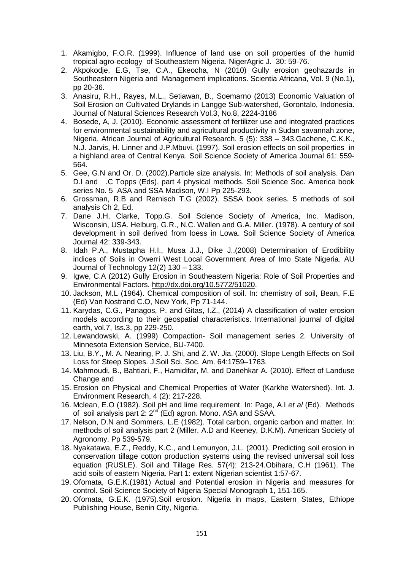- 1. Akamigbo, F.O.R. (1999). Influence of land use on soil properties of the humid tropical agro-ecology of Southeastern Nigeria. NigerAgric J. 30: 59-76.
- 2. Akpokodje, E.G, Tse, C.A., Ekeocha, N (2010) Gully erosion geohazards in Southeastern Nigeria and Management implications. Scientia Africana, Vol. 9 (No.1), pp 20-36.
- 3. Anasiru, R.H., Rayes, M.L., Setiawan, B., Soemarno (2013) Economic Valuation of Soil Erosion on Cultivated Drylands in Langge Sub-watershed, Gorontalo, Indonesia. Journal of Natural Sciences Research Vol.3, No.8, 2224-3186
- 4. Bosede, A, J. (2010). Economic assessment of fertilizer use and integrated practices for environmental sustainability and agricultural productivity in Sudan savannah zone, Nigeria. African Journal of Agricultural Research. 5 (5): 338 – 343.Gachene, C.K.K., N.J. Jarvis, H. Linner and J.P.Mbuvi. (1997). Soil erosion effects on soil properties in a highland area of Central Kenya. Soil Science Society of America Journal 61: 559- 564.
- 5. Gee, G.N and Or. D. (2002).Particle size analysis. In: Methods of soil analysis. Dan D.I and .C Topps (Eds), part 4 physical methods. Soil Science Soc. America book series No. 5 ASA and SSA Madison, W.I Pp 225-293.
- 6. Grossman, R.B and Rernisch T.G (2002). SSSA book series. 5 methods of soil analysis Ch 2, Ed.
- 7. Dane J.H, Clarke, Topp.G. Soil Science Society of America, Inc. Madison, Wisconsin, USA. Helburg, G.R., N.C. Wallen and G.A. Miller. (1978). A century of soil development in soil derived from loess in Lowa. Soil Science Society of America Journal 42: 339-343.
- 8. Idah P.A., Mustapha H.I., Musa J.J., Dike J.,(2008) Determination of Erodibility indices of Soils in Owerri West Local Government Area of Imo State Nigeria. AU Journal of Technology 12(2) 130 – 133.
- 9. Igwe, C.A (2012) Gully Erosion in Southeastern Nigeria: Role of Soil Properties and Environmental Factors. http://dx.doi.org/10.5772/51020.
- 10. Jackson, M.L (1964). Chemical composition of soil. In: chemistry of soil, Bean, F.E (Ed) Van Nostrand C.O, New York, Pp 71-144.
- 11. Karydas, C.G., Panagos, P. and Gitas, I.Z., (2014) A classification of water erosion models according to their geospatial characteristics. International journal of digital earth, vol.7, Iss.3, pp 229-250.
- 12. Lewandowski, A. (1999) Compaction- Soil management series 2. University of Minnesota Extension Service, BU-7400.
- 13. Liu, B.Y., M. A. Nearing, P. J. Shi, and Z. W. Jia. (2000). Slope Length Effects on Soil Loss for Steep Slopes. J.Soil Sci. Soc. Am. 64:1759–1763.
- 14. Mahmoudi, B., Bahtiari, F., Hamidifar, M. and Danehkar A. (2010). Effect of Landuse Change and
- 15. Erosion on Physical and Chemical Properties of Water (Karkhe Watershed). Int. J. Environment Research, 4 (2): 217-228.
- 16. Mclean, E.O (1982). Soil pH and lime requirement. In: Page, A.I et al (Ed). Methods of soil analysis part 2: 2<sup>nd</sup> (Ed) agron. Mono. ASA and SSAA.
- 17. Nelson, D.N and Sommers, L.E (1982). Total carbon, organic carbon and matter. In: methods of soil analysis part 2 (Miller, A.D and Keeney, D.K.M). American Society of Agronomy. Pp 539-579.
- 18. Nyakatawa, E.Z., Reddy, K.C., and Lemunyon, J.L. (2001). Predicting soil erosion in conservation tillage cotton production systems using the revised universal soil loss equation (RUSLE). Soil and Tillage Res. 57(4): 213-24.Obihara, C.H (1961). The acid soils of eastern Nigeria. Part 1: extent Nigerian scientist 1:57-67.
- 19. Ofomata, G.E.K.(1981) Actual and Potential erosion in Nigeria and measures for control. Soil Science Society of Nigeria Special Monograph 1, 151-165.
- 20. Ofomata, G.E.K. (1975).Soil erosion. Nigeria in maps, Eastern States, Ethiope Publishing House, Benin City, Nigeria.